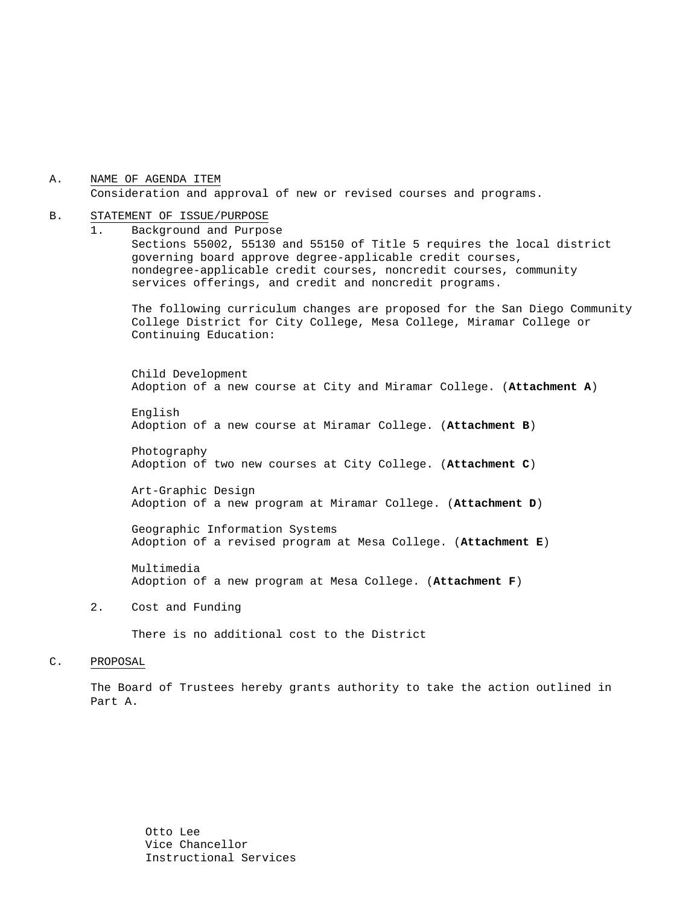#### A. NAME OF AGENDA ITEM Consideration and approval of new or revised courses and programs.

#### B. STATEMENT OF ISSUE/PURPOSE

1. Background and Purpose Sections 55002, 55130 and 55150 of Title 5 requires the local district governing board approve degree-applicable credit courses, nondegree-applicable credit courses, noncredit courses, community services offerings, and credit and noncredit programs.

The following curriculum changes are proposed for the San Diego Community College District for City College, Mesa College, Miramar College or Continuing Education:

 Child Development Adoption of a new course at City and Miramar College. (**Attachment A**)

English Adoption of a new course at Miramar College. (**Attachment B**)

Photography Adoption of two new courses at City College. (**Attachment C**)

Art-Graphic Design Adoption of a new program at Miramar College. (**Attachment D**)

Geographic Information Systems Adoption of a revised program at Mesa College. (**Attachment E**)

 Multimedia Adoption of a new program at Mesa College. (**Attachment F**)

2. Cost and Funding

There is no additional cost to the District

#### C. PROPOSAL

The Board of Trustees hereby grants authority to take the action outlined in Part A.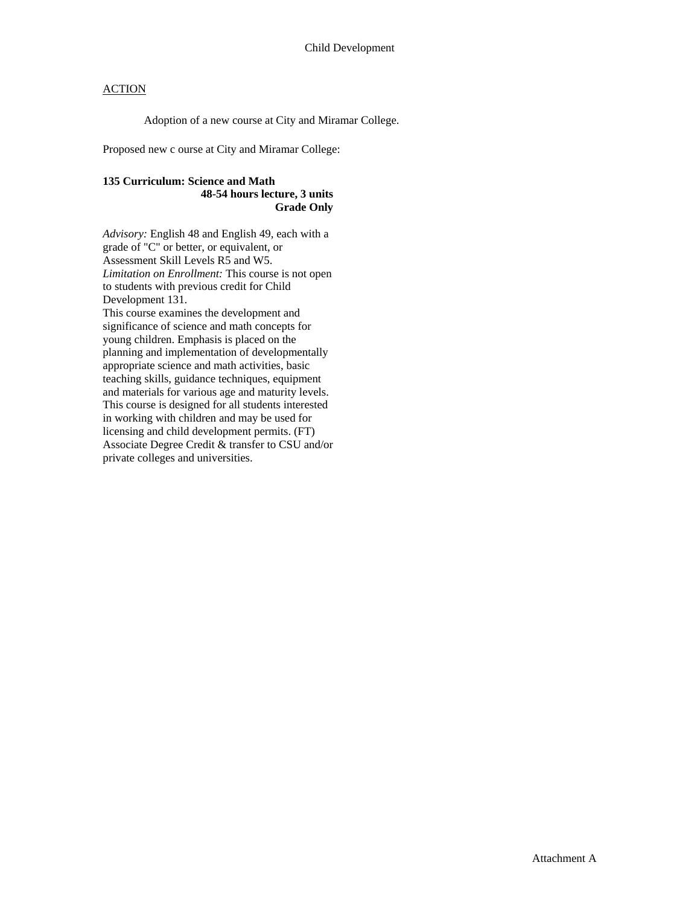Adoption of a new course at City and Miramar College.

Proposed new c ourse at City and Miramar College:

### **135 Curriculum: Science and Math 48-54 hours lecture, 3 units Grade Only**

*Advisory:* English 48 and English 49, each with a grade of "C" or better, or equivalent, or Assessment Skill Levels R5 and W5. *Limitation on Enrollment:* This course is not open to students with previous credit for Child Development 131. This course examines the development and significance of science and math concepts for young children. Emphasis is placed on the planning and implementation of developmentally appropriate science and math activities, basic teaching skills, guidance techniques, equipment and materials for various age and maturity levels. This course is designed for all students interested in working with children and may be used for licensing and child development permits. (FT) Associate Degree Credit & transfer to CSU and/or private colleges and universities.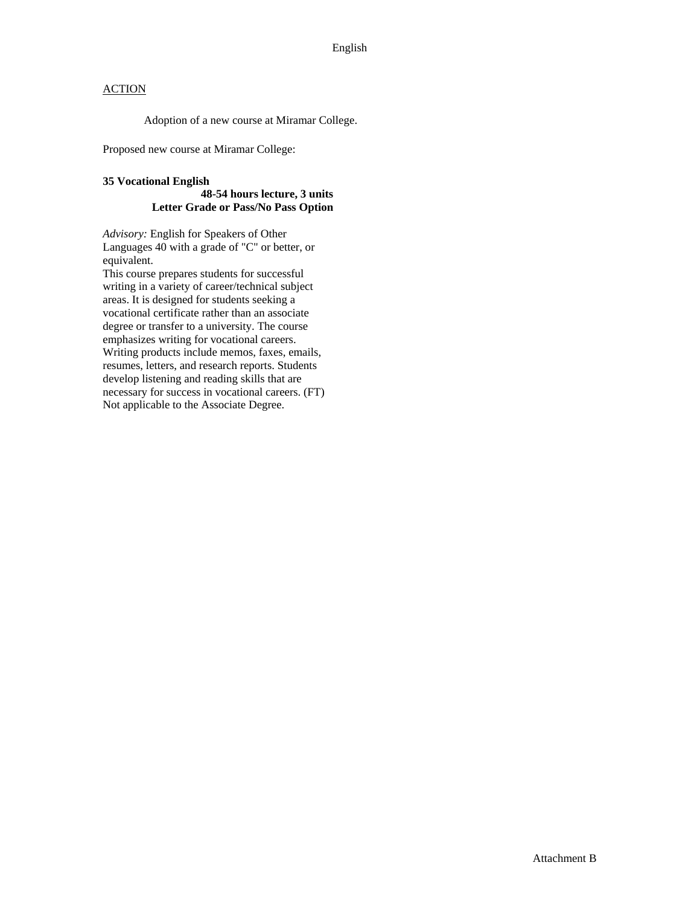Adoption of a new course at Miramar College.

Proposed new course at Miramar College:

### **35 Vocational English**

#### **48-54 hours lecture, 3 units Letter Grade or Pass/No Pass Option**

*Advisory:* English for Speakers of Other Languages 40 with a grade of "C" or better, or equivalent.

This course prepares students for successful writing in a variety of career/technical subject areas. It is designed for students seeking a vocational certificate rather than an associate degree or transfer to a university. The course emphasizes writing for vocational careers. Writing products include memos, faxes, emails, resumes, letters, and research reports. Students develop listening and reading skills that are necessary for success in vocational careers. (FT) Not applicable to the Associate Degree.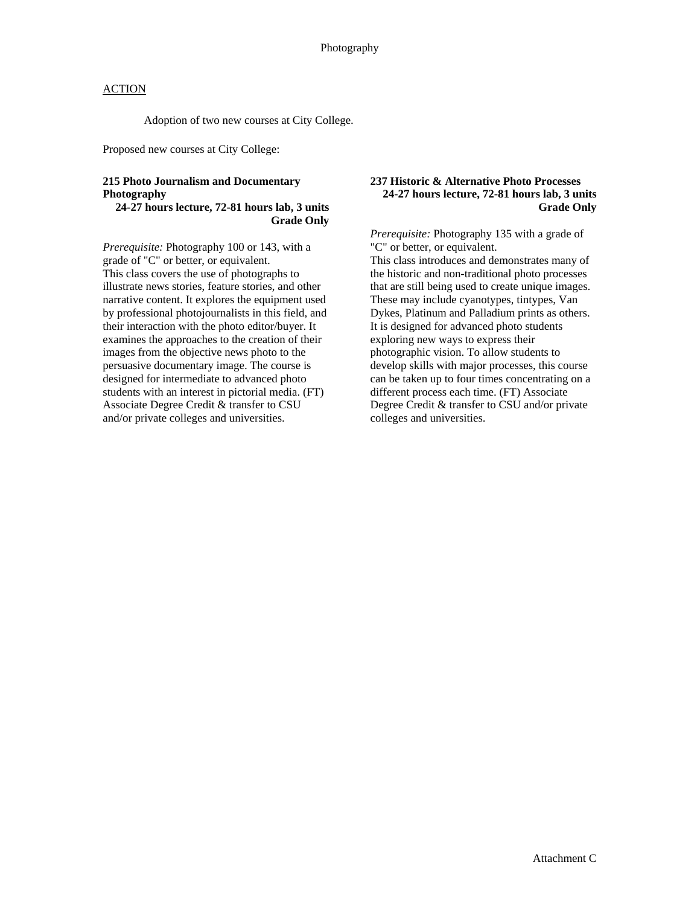Adoption of two new courses at City College.

Proposed new courses at City College:

### **215 Photo Journalism and Documentary Photography**

#### **24-27 hours lecture, 72-81 hours lab, 3 units Grade Only**

*Prerequisite:* Photography 100 or 143, with a grade of "C" or better, or equivalent. This class covers the use of photographs to illustrate news stories, feature stories, and other narrative content. It explores the equipment used by professional photojournalists in this field, and their interaction with the photo editor/buyer. It examines the approaches to the creation of their images from the objective news photo to the persuasive documentary image. The course is designed for intermediate to advanced photo students with an interest in pictorial media. (FT) Associate Degree Credit & transfer to CSU and/or private colleges and universities.

### **237 Historic & Alternative Photo Processes 24-27 hours lecture, 72-81 hours lab, 3 units Grade Only**

*Prerequisite:* Photography 135 with a grade of "C" or better, or equivalent.

This class introduces and demonstrates many of the historic and non-traditional photo processes that are still being used to create unique images. These may include cyanotypes, tintypes, Van Dykes, Platinum and Palladium prints as others. It is designed for advanced photo students exploring new ways to express their photographic vision. To allow students to develop skills with major processes, this course can be taken up to four times concentrating on a different process each time. (FT) Associate Degree Credit & transfer to CSU and/or private colleges and universities.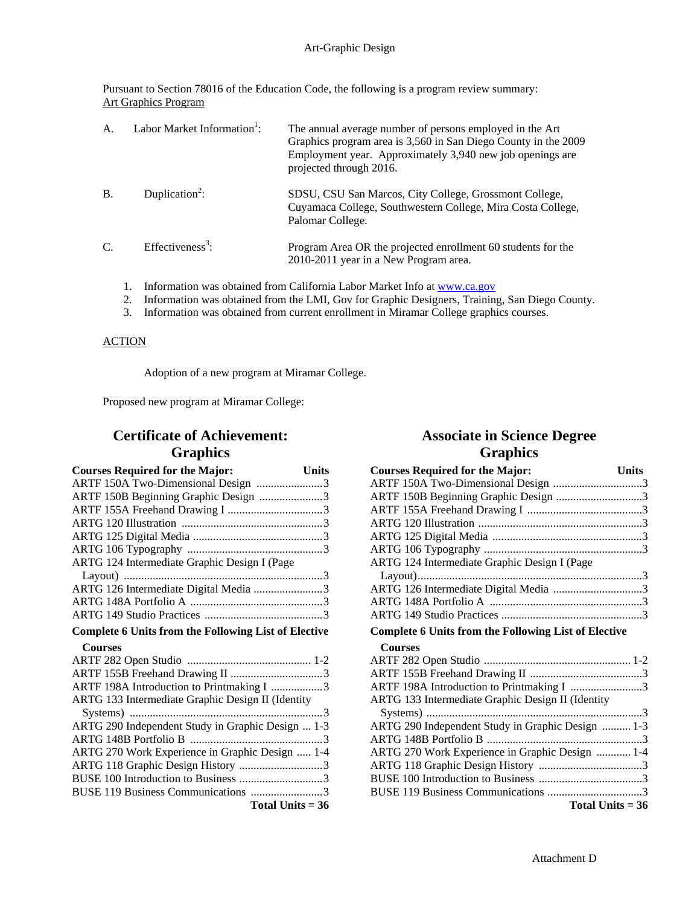Pursuant to Section 78016 of the Education Code, the following is a program review summary: Art Graphics Program

| A.            | Labor Market Information <sup>1</sup> : | The annual average number of persons employed in the Art<br>Graphics program area is 3,560 in San Diego County in the 2009<br>Employment year. Approximately 3,940 new job openings are<br>projected through 2016. |
|---------------|-----------------------------------------|--------------------------------------------------------------------------------------------------------------------------------------------------------------------------------------------------------------------|
| $\mathbf{B}$  | Duplication <sup>2</sup> :              | SDSU, CSU San Marcos, City College, Grossmont College,<br>Cuyamaca College, Southwestern College, Mira Costa College,<br>Palomar College.                                                                          |
| $\mathcal{C}$ | Effectiveness <sup>3</sup> :            | Program Area OR the projected enrollment 60 students for the<br>2010-2011 year in a New Program area.                                                                                                              |
|               |                                         | Information was obtained from California Labor Market Info at www.ca.gov                                                                                                                                           |

- 2. Information was obtained from the LMI, Gov for Graphic Designers, Training, San Diego County.
- 3. Information was obtained from current enrollment in Miramar College graphics courses.

#### **ACTION**

Adoption of a new program at Miramar College.

Proposed new program at Miramar College:

# **Certificate of Achievement: Graphics**

| <b>Courses Required for the Major:</b>                      | <b>Units</b> |  |
|-------------------------------------------------------------|--------------|--|
| ARTF 150A Two-Dimensional Design 3                          |              |  |
| ARTF 150B Beginning Graphic Design 3                        |              |  |
|                                                             |              |  |
|                                                             |              |  |
|                                                             |              |  |
|                                                             |              |  |
| ARTG 124 Intermediate Graphic Design I (Page                |              |  |
|                                                             |              |  |
| ARTG 126 Intermediate Digital Media 3                       |              |  |
|                                                             |              |  |
|                                                             |              |  |
| <b>Complete 6 Units from the Following List of Elective</b> |              |  |
| <b>Courses</b>                                              |              |  |
|                                                             |              |  |
|                                                             |              |  |
| ARTF 198A Introduction to Printmaking I 3                   |              |  |
| ARTG 133 Intermediate Graphic Design II (Identity           |              |  |
|                                                             |              |  |
| ARTG 290 Independent Study in Graphic Design  1-3           |              |  |
|                                                             |              |  |
| ARTG 270 Work Experience in Graphic Design  1-4             |              |  |
| ARTG 118 Graphic Design History 3                           |              |  |
| BUSE 100 Introduction to Business 3                         |              |  |
| BUSE 119 Business Communications 3                          |              |  |
| Total Units $= 36$                                          |              |  |

## **Associate in Science Degree Graphics**

| <b>Courses Required for the Major:</b>                      | <b>Units</b> |
|-------------------------------------------------------------|--------------|
| ARTF 150A Two-Dimensional Design 3                          |              |
| ARTF 150B Beginning Graphic Design 3                        |              |
|                                                             |              |
|                                                             |              |
|                                                             |              |
|                                                             |              |
| ARTG 124 Intermediate Graphic Design I (Page                |              |
|                                                             |              |
| ARTG 126 Intermediate Digital Media 3                       |              |
|                                                             |              |
|                                                             |              |
| <b>Complete 6 Units from the Following List of Elective</b> |              |
| <b>Courses</b>                                              |              |
|                                                             |              |
|                                                             |              |
| ARTF 198A Introduction to Printmaking I 3                   |              |
| ARTG 133 Intermediate Graphic Design II (Identity           |              |
|                                                             |              |
| ARTG 290 Independent Study in Graphic Design  1-3           |              |
|                                                             |              |
| ARTG 270 Work Experience in Graphic Design  1-4             |              |
|                                                             |              |
|                                                             |              |
|                                                             |              |
| Total Units $= 36$                                          |              |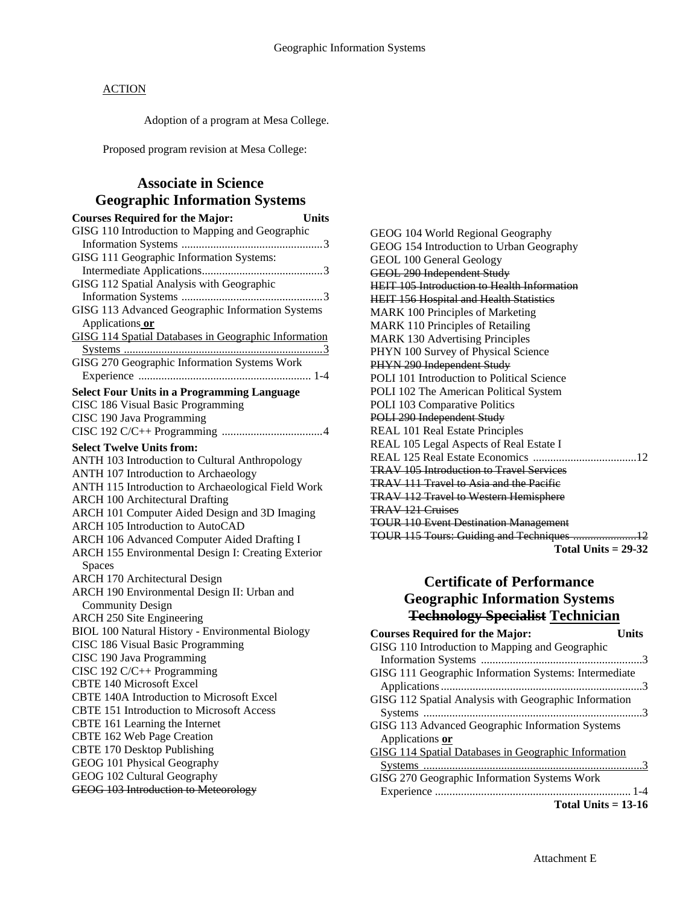Adoption of a program at Mesa College.

Proposed program revision at Mesa College:

## **Associate in Science Geographic Information Systems**

| <b>Courses Required for the Major:</b>                      | <b>Units</b> |
|-------------------------------------------------------------|--------------|
| GISG 110 Introduction to Mapping and Geographic             |              |
|                                                             |              |
| GISG 111 Geographic Information Systems:                    |              |
|                                                             |              |
| GISG 112 Spatial Analysis with Geographic                   |              |
|                                                             |              |
| GISG 113 Advanced Geographic Information Systems            |              |
| Applications or                                             |              |
| <b>GISG 114 Spatial Databases in Geographic Information</b> |              |
|                                                             |              |
| GISG 270 Geographic Information Systems Work                |              |
|                                                             |              |
| <b>Select Four Units in a Programming Language</b>          |              |
| CISC 186 Visual Basic Programming                           |              |
| CISC 190 Java Programming                                   |              |
|                                                             |              |
| <b>Select Twelve Units from:</b>                            |              |
| ANTH 103 Introduction to Cultural Anthropology              |              |
| ANTH 107 Introduction to Archaeology                        |              |
| ANTH 115 Introduction to Archaeological Field Work          |              |
| <b>ARCH 100 Architectural Drafting</b>                      |              |
| ARCH 101 Computer Aided Design and 3D Imaging               |              |
| ARCH 105 Introduction to AutoCAD                            |              |
| <b>ARCH 106 Advanced Computer Aided Drafting I</b>          |              |
| ARCH 155 Environmental Design I: Creating Exterior          |              |
| <b>Spaces</b>                                               |              |
| <b>ARCH 170 Architectural Design</b>                        |              |
| ARCH 190 Environmental Design II: Urban and                 |              |
| <b>Community Design</b>                                     |              |
| <b>ARCH 250 Site Engineering</b>                            |              |
| <b>BIOL 100 Natural History - Environmental Biology</b>     |              |
| CISC 186 Visual Basic Programming                           |              |
| CISC 190 Java Programming                                   |              |
| CISC 192 C/C++ Programming                                  |              |
| <b>CBTE 140 Microsoft Excel</b>                             |              |
| CBTE 140A Introduction to Microsoft Excel                   |              |
| <b>CBTE 151 Introduction to Microsoft Access</b>            |              |
| CBTE 161 Learning the Internet                              |              |
| CBTE 162 Web Page Creation                                  |              |
| <b>CBTE 170 Desktop Publishing</b>                          |              |
| GEOG 101 Physical Geography                                 |              |
| GEOG 102 Cultural Geography                                 |              |
| <b>GEOG 103 Introduction to Meteorology</b>                 |              |

GEOG 104 World Regional Geography GEOG 154 Introduction to Urban Geography GEOL 100 General Geology GEOL 290 Independent Study HEIT 105 Introduction to Health Information HEIT 156 Hospital and Health Statistics MARK 100 Principles of Marketing MARK 110 Principles of Retailing MARK 130 Advertising Principles PHYN 100 Survey of Physical Science PHYN 290 Independent Study POLI 101 Introduction to Political Science POLI 102 The American Political System POLI 103 Comparative Politics POLI 290 Independent Study REAL 101 Real Estate Principles REAL 105 Legal Aspects of Real Estate I REAL 125 Real Estate Economics ....................................12 TRAV 105 Introduction to Travel Services TRAV 111 Travel to Asia and the Pacific TRAV 112 Travel to Western Hemisphere TRAV 121 Cruises TOUR 110 Event Destination Management TOUR 115 Tours: Guiding and Techniques ......................12 **Total Units = 29-32** 

## **Certificate of Performance Geographic Information Systems Technology Specialist Technician**

| <b>Courses Required for the Major:</b>                      | Units |
|-------------------------------------------------------------|-------|
| GISG 110 Introduction to Mapping and Geographic             |       |
|                                                             |       |
| GISG 111 Geographic Information Systems: Intermediate       |       |
|                                                             |       |
| GISG 112 Spatial Analysis with Geographic Information       |       |
|                                                             |       |
| GISG 113 Advanced Geographic Information Systems            |       |
| Applications or                                             |       |
| <b>GISG 114 Spatial Databases in Geographic Information</b> |       |
|                                                             |       |
| GISG 270 Geographic Information Systems Work                |       |
|                                                             |       |
| Total Units $= 13-16$                                       |       |